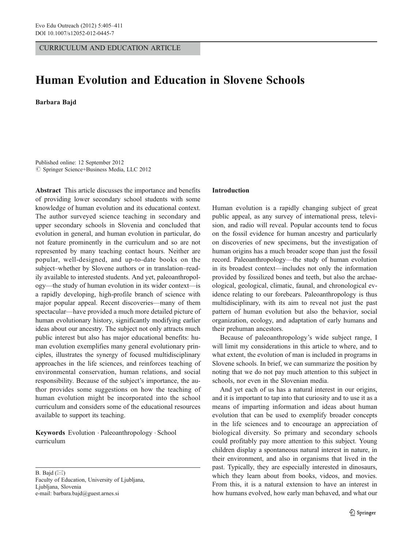CURRICULUM AND EDUCATION ARTICLE

# Human Evolution and Education in Slovene Schools

Barbara Bajd

Published online: 12 September 2012  $\oslash$  Springer Science+Business Media, LLC 2012

Abstract This article discusses the importance and benefits of providing lower secondary school students with some knowledge of human evolution and its educational context. The author surveyed science teaching in secondary and upper secondary schools in Slovenia and concluded that evolution in general, and human evolution in particular, do not feature prominently in the curriculum and so are not represented by many teaching contact hours. Neither are popular, well-designed, and up-to-date books on the subject–whether by Slovene authors or in translation–readily available to interested students. And yet, paleoanthropology—the study of human evolution in its wider context—is a rapidly developing, high-profile branch of science with major popular appeal. Recent discoveries—many of them spectacular—have provided a much more detailed picture of human evolutionary history, significantly modifying earlier ideas about our ancestry. The subject not only attracts much public interest but also has major educational benefits: human evolution exemplifies many general evolutionary principles, illustrates the synergy of focused multidisciplinary approaches in the life sciences, and reinforces teaching of environmental conservation, human relations, and social responsibility. Because of the subject's importance, the author provides some suggestions on how the teaching of human evolution might be incorporated into the school curriculum and considers some of the educational resources available to support its teaching.

Keywords Evolution . Paleoanthropology . School curriculum

B. Bajd  $(\boxtimes)$ Faculty of Education, University of Ljubljana, Ljubljana, Slovenia e-mail: barbara.bajd@guest.arnes.si

# Introduction

Human evolution is a rapidly changing subject of great public appeal, as any survey of international press, television, and radio will reveal. Popular accounts tend to focus on the fossil evidence for human ancestry and particularly on discoveries of new specimens, but the investigation of human origins has a much broader scope than just the fossil record. Paleoanthropology—the study of human evolution in its broadest context—includes not only the information provided by fossilized bones and teeth, but also the archaeological, geological, climatic, faunal, and chronological evidence relating to our forebears. Paleoanthropology is thus multidisciplinary, with its aim to reveal not just the past pattern of human evolution but also the behavior, social organization, ecology, and adaptation of early humans and their prehuman ancestors.

Because of paleoanthropology's wide subject range, I will limit my considerations in this article to where, and to what extent, the evolution of man is included in programs in Slovene schools. In brief, we can summarize the position by noting that we do not pay much attention to this subject in schools, nor even in the Slovenian media.

And yet each of us has a natural interest in our origins, and it is important to tap into that curiosity and to use it as a means of imparting information and ideas about human evolution that can be used to exemplify broader concepts in the life sciences and to encourage an appreciation of biological diversity. So primary and secondary schools could profitably pay more attention to this subject. Young children display a spontaneous natural interest in nature, in their environment, and also in organisms that lived in the past. Typically, they are especially interested in dinosaurs, which they learn about from books, videos, and movies. From this, it is a natural extension to have an interest in how humans evolved, how early man behaved, and what our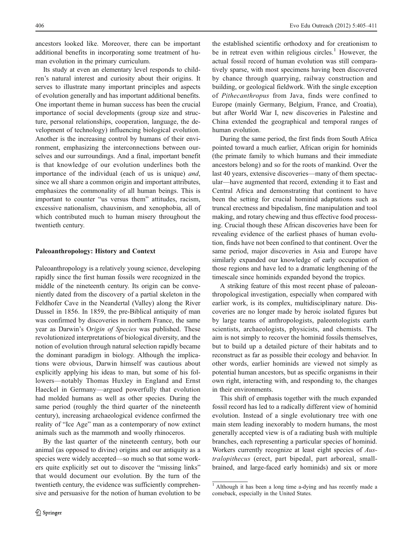ancestors looked like. Moreover, there can be important additional benefits in incorporating some treatment of human evolution in the primary curriculum.

Its study at even an elementary level responds to children's natural interest and curiosity about their origins. It serves to illustrate many important principles and aspects of evolution generally and has important additional benefits. One important theme in human success has been the crucial importance of social developments (group size and structure, personal relationships, cooperation, language, the development of technology) influencing biological evolution. Another is the increasing control by humans of their environment, emphasizing the interconnections between ourselves and our surroundings. And a final, important benefit is that knowledge of our evolution underlines both the importance of the individual (each of us is unique) and, since we all share a common origin and important attributes, emphasizes the commonality of all human beings. This is important to counter "us versus them" attitudes, racism, excessive nationalism, chauvinism, and xenophobia, all of which contributed much to human misery throughout the twentieth century.

#### Paleoanthropology: History and Context

Paleoanthropology is a relatively young science, developing rapidly since the first human fossils were recognized in the middle of the nineteenth century. Its origin can be conveniently dated from the discovery of a partial skeleton in the Feldhofer Cave in the Neandertal (Valley) along the River Dussel in 1856. In 1859, the pre-Biblical antiquity of man was confirmed by discoveries in northern France, the same year as Darwin's Origin of Species was published. These revolutionized interpretations of biological diversity, and the notion of evolution through natural selection rapidly became the dominant paradigm in biology. Although the implications were obvious, Darwin himself was cautious about explicitly applying his ideas to man, but some of his followers—notably Thomas Huxley in England and Ernst Haeckel in Germany—argued powerfully that evolution had molded humans as well as other species. During the same period (roughly the third quarter of the nineteenth century), increasing archaeological evidence confirmed the reality of "Ice Age" man as a contemporary of now extinct animals such as the mammoth and woolly rhinoceros.

By the last quarter of the nineteenth century, both our animal (as opposed to divine) origins and our antiquity as a species were widely accepted—so much so that some workers quite explicitly set out to discover the "missing links" that would document our evolution. By the turn of the twentieth century, the evidence was sufficiently comprehensive and persuasive for the notion of human evolution to be

the established scientific orthodoxy and for creationism to be in retreat even within religious circles.<sup>1</sup> However, the actual fossil record of human evolution was still comparatively sparse, with most specimens having been discovered by chance through quarrying, railway construction and building, or geological fieldwork. With the single exception of Pithecanthropus from Java, finds were confined to Europe (mainly Germany, Belgium, France, and Croatia), but after World War I, new discoveries in Palestine and China extended the geographical and temporal ranges of human evolution.

During the same period, the first finds from South Africa pointed toward a much earlier, African origin for hominids (the primate family to which humans and their immediate ancestors belong) and so for the roots of mankind. Over the last 40 years, extensive discoveries—many of them spectacular—have augmented that record, extending it to East and Central Africa and demonstrating that continent to have been the setting for crucial hominid adaptations such as truncal erectness and bipedalism, fine manipulation and tool making, and rotary chewing and thus effective food processing. Crucial though these African discoveries have been for revealing evidence of the earliest phases of human evolution, finds have not been confined to that continent. Over the same period, major discoveries in Asia and Europe have similarly expanded our knowledge of early occupation of those regions and have led to a dramatic lengthening of the timescale since hominids expanded beyond the tropics.

A striking feature of this most recent phase of paleoanthropological investigation, especially when compared with earlier work, is its complex, multidisciplinary nature. Discoveries are no longer made by heroic isolated figures but by large teams of anthropologists, paleontologists earth scientists, archaeologists, physicists, and chemists. The aim is not simply to recover the hominid fossils themselves, but to build up a detailed picture of their habitats and to reconstruct as far as possible their ecology and behavior. In other words, earlier hominids are viewed not simply as potential human ancestors, but as specific organisms in their own right, interacting with, and responding to, the changes in their environments.

This shift of emphasis together with the much expanded fossil record has led to a radically different view of hominid evolution. Instead of a single evolutionary tree with one main stem leading inexorably to modern humans, the most generally accepted view is of a radiating bush with multiple branches, each representing a particular species of hominid. Workers currently recognize at least eight species of Australopithecus (erect, part bipedal, part arboreal, smallbrained, and large-faced early hominids) and six or more

<sup>&</sup>lt;sup>1</sup> Although it has been a long time a-dying and has recently made a comeback, especially in the United States.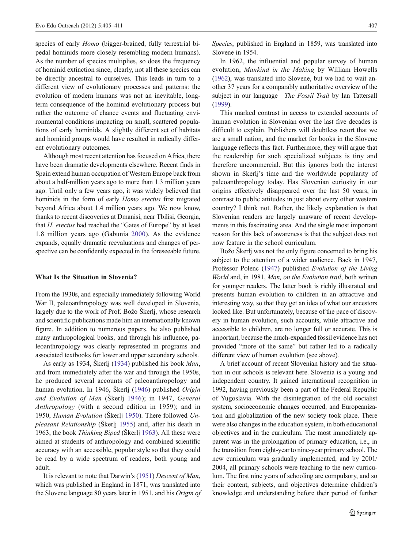species of early *Homo* (bigger-brained, fully terrestrial bipedal hominids more closely resembling modern humans). As the number of species multiplies, so does the frequency of hominid extinction since, clearly, not all these species can be directly ancestral to ourselves. This leads in turn to a different view of evolutionary processes and patterns: the evolution of modern humans was not an inevitable, longterm consequence of the hominid evolutionary process but rather the outcome of chance events and fluctuating environmental conditions impacting on small, scattered populations of early hominids. A slightly different set of habitats and hominid groups would have resulted in radically different evolutionary outcomes.

Although most recent attention has focused on Africa, there have been dramatic developments elsewhere. Recent finds in Spain extend human occupation of Western Europe back from about a half-million years ago to more than 1.3 million years ago. Until only a few years ago, it was widely believed that hominids in the form of early Homo erectus first migrated beyond Africa about 1.4 million years ago. We now know, thanks to recent discoveries at Dmanisi, near Tbilisi, Georgia, that  $H$ . erectus had reached the "Gates of Europe" by at least 1.8 million years ago (Gabunia [2000](#page-6-0)). As the evidence expands, equally dramatic reevaluations and changes of perspective can be confidently expected in the foreseeable future.

# What Is the Situation in Slovenia?

From the 1930s, and especially immediately following World War II, paleoanthropology was well developed in Slovenia, largely due to the work of Prof. Božo Škerlj, whose research and scientific publications made him an internationally known figure. In addition to numerous papers, he also published many anthropological books, and through his influence, paleoanthropology was clearly represented in programs and associated textbooks for lower and upper secondary schools.

As early as 1934, Škerlj [\(1934](#page-6-0)) published his book Man, and from immediately after the war and through the 1950s, he produced several accounts of paleoanthropology and human evolution. In 1946, Škerlj ([1946\)](#page-6-0) published Origin and Evolution of Man (Škerlj [1946](#page-6-0)); in 1947, General Anthropology (with a second edition in 1959); and in 1950, Human Evolution (Škerlj [1950\)](#page-6-0). There followed Unpleasant Relationship (Škerlj [1955](#page-6-0)) and, after his death in 1963, the book Thinking Biped (Škerlj [1963](#page-6-0)). All these were aimed at students of anthropology and combined scientific accuracy with an accessible, popular style so that they could be read by a wide spectrum of readers, both young and adult.

It is relevant to note that Darwin's ([1951\)](#page-6-0) Descent of Man, which was published in England in 1871, was translated into the Slovene language 80 years later in 1951, and his Origin of Species, published in England in 1859, was translated into Slovene in 1954.

In 1962, the influential and popular survey of human evolution, Mankind in the Making by William Howells [\(1962\)](#page-6-0), was translated into Slovene, but we had to wait another 37 years for a comparably authoritative overview of the subject in our language—The Fossil Trail by Ian Tattersall [\(1999\)](#page-6-0).

This marked contrast in access to extended accounts of human evolution in Slovenian over the last five decades is difficult to explain. Publishers will doubtless retort that we are a small nation, and the market for books in the Slovene language reflects this fact. Furthermore, they will argue that the readership for such specialized subjects is tiny and therefore uncommercial. But this ignores both the interest shown in Skerlj's time and the worldwide popularity of paleoanthropology today. Has Slovenian curiosity in our origins effectively disappeared over the last 50 years, in contrast to public attitudes in just about every other western country? I think not. Rather, the likely explanation is that Slovenian readers are largely unaware of recent developments in this fascinating area. And the single most important reason for this lack of awareness is that the subject does not now feature in the school curriculum.

Božo Škerlj was not the only figure concerned to bring his subject to the attention of a wider audience. Back in 1947, Professor Polenc ([1947](#page-6-0)) published Evolution of the Living World and, in 1981, Man, on the Evolution trail, both written for younger readers. The latter book is richly illustrated and presents human evolution to children in an attractive and interesting way, so that they get an idea of what our ancestors looked like. But unfortunately, because of the pace of discovery in human evolution, such accounts, while attractive and accessible to children, are no longer full or accurate. This is important, because the much-expanded fossil evidence has not provided "more of the same" but rather led to a radically different view of human evolution (see above).

A brief account of recent Slovenian history and the situation in our schools is relevant here. Slovenia is a young and independent country. It gained international recognition in 1992, having previously been a part of the Federal Republic of Yugoslavia. With the disintegration of the old socialist system, socioeconomic changes occurred, and Europeanization and globalization of the new society took place. There were also changes in the education system, in both educational objectives and in the curriculum. The most immediately apparent was in the prolongation of primary education, i.e., in the transition from eight-year to nine-year primary school. The new curriculum was gradually implemented, and by 2001/ 2004, all primary schools were teaching to the new curriculum. The first nine years of schooling are compulsory, and so their content, subjects, and objectives determine children's knowledge and understanding before their period of further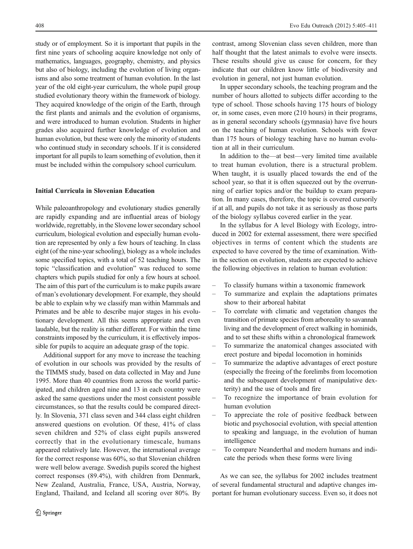study or of employment. So it is important that pupils in the first nine years of schooling acquire knowledge not only of mathematics, languages, geography, chemistry, and physics but also of biology, including the evolution of living organisms and also some treatment of human evolution. In the last year of the old eight-year curriculum, the whole pupil group studied evolutionary theory within the framework of biology. They acquired knowledge of the origin of the Earth, through the first plants and animals and the evolution of organisms, and were introduced to human evolution. Students in higher grades also acquired further knowledge of evolution and human evolution, but these were only the minority of students who continued study in secondary schools. If it is considered important for all pupils to learn something of evolution, then it must be included within the compulsory school curriculum.

# Initial Curricula in Slovenian Education

While paleoanthropology and evolutionary studies generally are rapidly expanding and are influential areas of biology worldwide, regrettably, in the Slovene lower secondary school curriculum, biological evolution and especially human evolution are represented by only a few hours of teaching. In class eight (of the nine-year schooling), biology as a whole includes some specified topics, with a total of 52 teaching hours. The topic "classification and evolution" was reduced to some chapters which pupils studied for only a few hours at school. The aim of this part of the curriculum is to make pupils aware of man's evolutionary development. For example, they should be able to explain why we classify man within Mammals and Primates and be able to describe major stages in his evolutionary development. All this seems appropriate and even laudable, but the reality is rather different. For within the time constraints imposed by the curriculum, it is effectively impossible for pupils to acquire an adequate grasp of the topic.

Additional support for any move to increase the teaching of evolution in our schools was provided by the results of the TIMMS study, based on data collected in May and June 1995. More than 40 countries from across the world participated, and children aged nine and 13 in each country were asked the same questions under the most consistent possible circumstances, so that the results could be compared directly. In Slovenia, 371 class seven and 344 class eight children answered questions on evolution. Of these, 41% of class seven children and 52% of class eight pupils answered correctly that in the evolutionary timescale, humans appeared relatively late. However, the international average for the correct response was 60%, so that Slovenian children were well below average. Swedish pupils scored the highest correct responses (89.4%), with children from Denmark, New Zealand, Australia, France, USA, Austria, Norway, England, Thailand, and Iceland all scoring over 80%. By contrast, among Slovenian class seven children, more than half thought that the latest animals to evolve were insects. These results should give us cause for concern, for they indicate that our children know little of biodiversity and evolution in general, not just human evolution.

In upper secondary schools, the teaching program and the number of hours allotted to subjects differ according to the type of school. Those schools having 175 hours of biology or, in some cases, even more (210 hours) in their programs, as in general secondary schools (gymnasia) have five hours on the teaching of human evolution. Schools with fewer than 175 hours of biology teaching have no human evolution at all in their curriculum.

In addition to the—at best—very limited time available to treat human evolution, there is a structural problem. When taught, it is usually placed towards the end of the school year, so that it is often squeezed out by the overrunning of earlier topics and/or the buildup to exam preparation. In many cases, therefore, the topic is covered cursorily if at all, and pupils do not take it as seriously as those parts of the biology syllabus covered earlier in the year.

In the syllabus for A level Biology with Ecology, introduced in 2002 for external assessment, there were specified objectives in terms of content which the students are expected to have covered by the time of examination. Within the section on evolution, students are expected to achieve the following objectives in relation to human evolution:

- To classify humans within a taxonomic framework
- To summarize and explain the adaptations primates show to their arboreal habitat
- To correlate with climatic and vegetation changes the transition of primate species from arboreality to savannah living and the development of erect walking in hominids, and to set these shifts within a chronological framework
- To summarize the anatomical changes associated with erect posture and bipedal locomotion in hominids
- To summarize the adaptive advantages of erect posture (especially the freeing of the forelimbs from locomotion and the subsequent development of manipulative dexterity) and the use of tools and fire
- To recognize the importance of brain evolution for human evolution
- To appreciate the role of positive feedback between biotic and psychosocial evolution, with special attention to speaking and language, in the evolution of human intelligence
- To compare Neanderthal and modern humans and indicate the periods when these forms were living

As we can see, the syllabus for 2002 includes treatment of several fundamental structural and adaptive changes important for human evolutionary success. Even so, it does not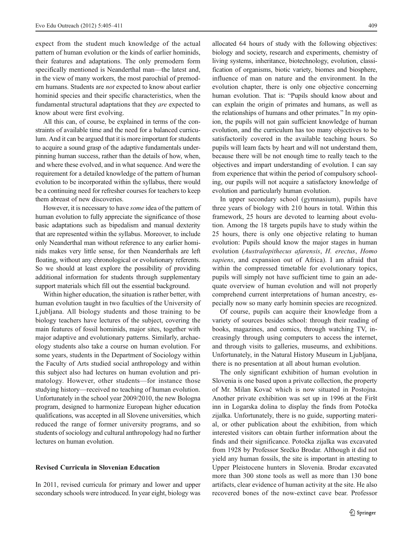expect from the student much knowledge of the actual pattern of human evolution or the kinds of earlier hominids, their features and adaptations. The only premodern form specifically mentioned is Neanderthal man—the latest and, in the view of many workers, the most parochial of premodern humans. Students are not expected to know about earlier hominid species and their specific characteristics, when the fundamental structural adaptations that they are expected to know about were first evolving.

All this can, of course, be explained in terms of the constraints of available time and the need for a balanced curriculum. And it can be argued that it is more important for students to acquire a sound grasp of the adaptive fundamentals underpinning human success, rather than the details of how, when, and where these evolved, and in what sequence. And were the requirement for a detailed knowledge of the pattern of human evolution to be incorporated within the syllabus, there would be a continuing need for refresher courses for teachers to keep them abreast of new discoveries.

However, it is necessary to have some idea of the pattern of human evolution to fully appreciate the significance of those basic adaptations such as bipedalism and manual dexterity that are represented within the syllabus. Moreover, to include only Neanderthal man without reference to any earlier hominids makes very little sense, for then Neanderthals are left floating, without any chronological or evolutionary referents. So we should at least explore the possibility of providing additional information for students through supplementary support materials which fill out the essential background.

Within higher education, the situation is rather better, with human evolution taught in two faculties of the University of Ljubljana. All biology students and those training to be biology teachers have lectures of the subject, covering the main features of fossil hominids, major sites, together with major adaptive and evolutionary patterns. Similarly, archaeology students also take a course on human evolution. For some years, students in the Department of Sociology within the Faculty of Arts studied social anthropology and within this subject also had lectures on human evolution and primatology. However, other students—for instance those studying history—received no teaching of human evolution. Unfortunately in the school year 2009/2010, the new Bologna program, designed to harmonize European higher education qualifications, was accepted in all Slovene universities, which reduced the range of former university programs, and so students of sociology and cultural anthropology had no further lectures on human evolution.

#### Revised Curricula in Slovenian Education

In 2011, revised curricula for primary and lower and upper secondary schools were introduced. In year eight, biology was allocated 64 hours of study with the following objectives: biology and society, research and experiments, chemistry of living systems, inheritance, biotechnology, evolution, classification of organisms, biotic variety, biomes and biosphere, influence of man on nature and the environment. In the evolution chapter, there is only one objective concerning human evolution. That is: "Pupils should know about and can explain the origin of primates and humans, as well as the relationships of humans and other primates." In my opinion, the pupils will not gain sufficient knowledge of human evolution, and the curriculum has too many objectives to be satisfactorily covered in the available teaching hours. So pupils will learn facts by heart and will not understand them, because there will be not enough time to really teach to the objectives and impart understanding of evolution. I can say from experience that within the period of compulsory schooling, our pupils will not acquire a satisfactory knowledge of evolution and particularly human evolution.

In upper secondary school (gymnasium), pupils have three years of biology with 210 hours in total. Within this framework, 25 hours are devoted to learning about evolution. Among the 18 targets pupils have to study within the 25 hours, there is only one objective relating to human evolution: Pupils should know the major stages in human evolution (Australopithecus afarensis, H. erectus, Homo sapiens, and expansion out of Africa). I am afraid that within the compressed timetable for evolutionary topics, pupils will simply not have sufficient time to gain an adequate overview of human evolution and will not properly comprehend current interpretations of human ancestry, especially now so many early hominin species are recognized.

Of course, pupils can acquire their knowledge from a variety of sources besides school: through their reading of books, magazines, and comics, through watching TV, increasingly through using computers to access the internet, and through visits to galleries, museums, and exhibitions. Unfortunately, in the Natural History Museum in Ljubljana, there is no presentation at all about human evolution.

The only significant exhibition of human evolution in Slovenia is one based upon a private collection, the property of Mr. Milan Kovač which is now situated in Postojna. Another private exhibition was set up in 1996 at the Firšt inn in Logarska dolina to display the finds from Potočka zijalka. Unfortunately, there is no guide, supporting material, or other publication about the exhibition, from which interested visitors can obtain further information about the finds and their significance. Potočka zijalka was excavated from 1928 by Professor Srečko Brodar. Although it did not yield any human fossils, the site is important in attesting to Upper Pleistocene hunters in Slovenia. Brodar excavated more than 300 stone tools as well as more than 130 bone artifacts, clear evidence of human activity at the site. He also recovered bones of the now-extinct cave bear. Professor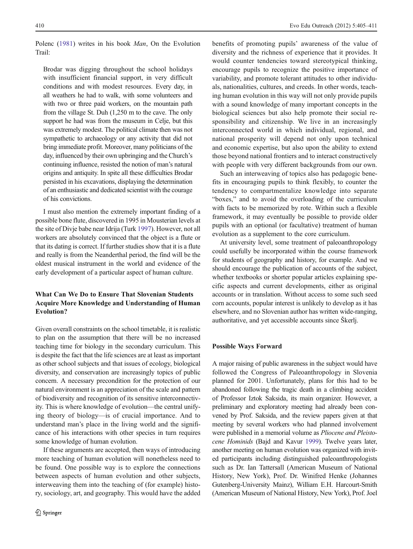Polenc [\(1981](#page-6-0)) writes in his book Man, On the Evolution Trail:

Brodar was digging throughout the school holidays with insufficient financial support, in very difficult conditions and with modest resources. Every day, in all weathers he had to walk, with some volunteers and with two or three paid workers, on the mountain path from the village St. Duh (1,250 m to the cave. The only support he had was from the museum in Celje, but this was extremely modest. The political climate then was not sympathetic to archaeology or any activity that did not bring immediate profit. Moreover, many politicians of the day, influenced by their own upbringing and the Church's continuing influence, resisted the notion of man's natural origins and antiquity. In spite all these difficulties Brodar persisted in his excavations, displaying the determination of an enthusiastic and dedicated scientist with the courage of his convictions.

I must also mention the extremely important finding of a possible bone flute, discovered in 1995 in Mousterian levels at the site of Divje babe near Idrija (Turk [1997](#page-6-0)). However, not all workers are absolutely convinced that the object is a flute or that its dating is correct. If further studies show that it is a flute and really is from the Neanderthal period, the find will be the oldest musical instrument in the world and evidence of the early development of a particular aspect of human culture.

# What Can We Do to Ensure That Slovenian Students Acquire More Knowledge and Understanding of Human Evolution?

Given overall constraints on the school timetable, it is realistic to plan on the assumption that there will be no increased teaching time for biology in the secondary curriculum. This is despite the fact that the life sciences are at least as important as other school subjects and that issues of ecology, biological diversity, and conservation are increasingly topics of public concern. A necessary precondition for the protection of our natural environment is an appreciation of the scale and pattern of biodiversity and recognition of its sensitive interconnectivity. This is where knowledge of evolution—the central unifying theory of biology—is of crucial importance. And to understand man's place in the living world and the significance of his interactions with other species in turn requires some knowledge of human evolution.

If these arguments are accepted, then ways of introducing more teaching of human evolution will nonetheless need to be found. One possible way is to explore the connections between aspects of human evolution and other subjects, interweaving them into the teaching of (for example) history, sociology, art, and geography. This would have the added benefits of promoting pupils' awareness of the value of diversity and the richness of experience that it provides. It would counter tendencies toward stereotypical thinking, encourage pupils to recognize the positive importance of variability, and promote tolerant attitudes to other individuals, nationalities, cultures, and creeds. In other words, teaching human evolution in this way will not only provide pupils with a sound knowledge of many important concepts in the biological sciences but also help promote their social responsibility and citizenship. We live in an increasingly interconnected world in which individual, regional, and national prosperity will depend not only upon technical and economic expertise, but also upon the ability to extend those beyond national frontiers and to interact constructively with people with very different backgrounds from our own.

Such an interweaving of topics also has pedagogic benefits in encouraging pupils to think flexibly, to counter the tendency to compartmentalize knowledge into separate "boxes," and to avoid the overloading of the curriculum with facts to be memorized by rote. Within such a flexible framework, it may eventually be possible to provide older pupils with an optional (or facultative) treatment of human evolution as a supplement to the core curriculum.

At university level, some treatment of paleoanthropology could usefully be incorporated within the course framework for students of geography and history, for example. And we should encourage the publication of accounts of the subject, whether textbooks or shorter popular articles explaining specific aspects and current developments, either as original accounts or in translation. Without access to some such seed corn accounts, popular interest is unlikely to develop as it has elsewhere, and no Slovenian author has written wide-ranging, authoritative, and yet accessible accounts since Škerlj.

# Possible Ways Forward

A major raising of public awareness in the subject would have followed the Congress of Paleoanthropology in Slovenia planned for 2001. Unfortunately, plans for this had to be abandoned following the tragic death in a climbing accident of Professor Iztok Saksida, its main organizer. However, a preliminary and exploratory meeting had already been convened by Prof. Saksida, and the review papers given at that meeting by several workers who had planned involvement were published in a memorial volume as Pliocene and Pleistocene Hominids (Bajd and Kavur [1999\)](#page-6-0). Twelve years later, another meeting on human evolution was organized with invited participants including distinguished paleoanthropologists such as Dr. Ian Tattersall (American Museum of National History, New York), Prof. Dr. Winifred Henke (Johannes Gutenberg-University Mainz), William E.H. Harcourt-Smith (American Museum of National History, New York), Prof. Joel